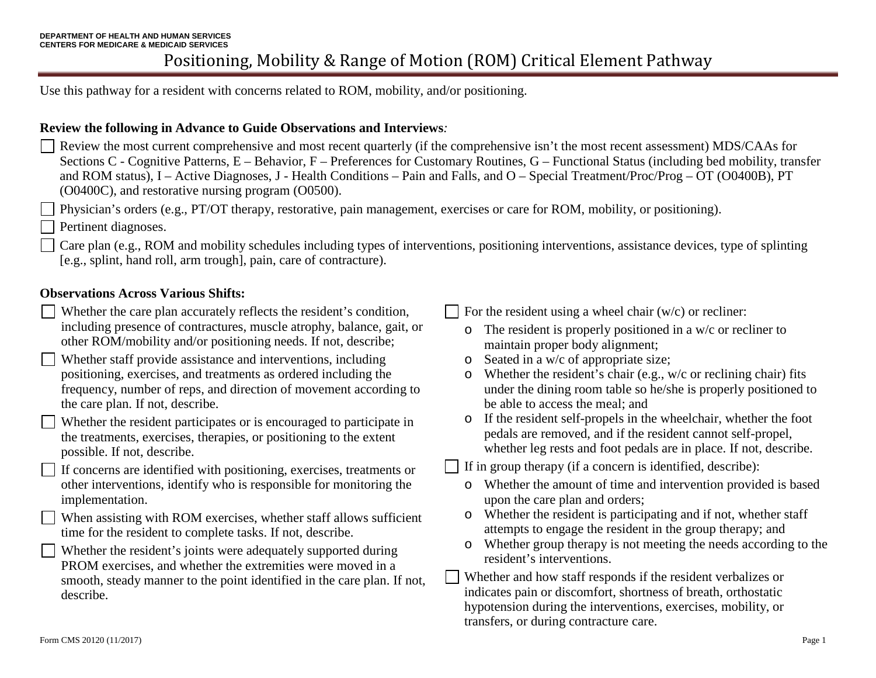Use this pathway for a resident with concerns related to ROM, mobility, and/or positioning.

#### **Review the following in Advance to Guide Observations and Interviews***:*

Review the most current comprehensive and most recent quarterly (if the comprehensive isn't the most recent assessment) MDS/CAAs for Sections C - Cognitive Patterns, E – Behavior, F – Preferences for Customary Routines, G – Functional Status (including bed mobility, transfer and ROM status), I – Active Diagnoses, J - Health Conditions – Pain and Falls, and O – Special Treatment/Proc/Prog – OT (O0400B), PT (O0400C), and restorative nursing program (O0500).

Physician's orders (e.g., PT/OT therapy, restorative, pain management, exercises or care for ROM, mobility, or positioning).

Pertinent diagnoses.

Care plan (e.g., ROM and mobility schedules including types of interventions, positioning interventions, assistance devices, type of splinting [e.g., splint, hand roll, arm trough], pain, care of contracture).

#### **Observations Across Various Shifts:**

- Whether the care plan accurately reflects the resident's condition, including presence of contractures, muscle atrophy, balance, gait, or other ROM/mobility and/or positioning needs. If not, describe;
- Whether staff provide assistance and interventions, including positioning, exercises, and treatments as ordered including the frequency, number of reps, and direction of movement according to the care plan. If not, describe.
- Whether the resident participates or is encouraged to participate in the treatments, exercises, therapies, or positioning to the extent possible. If not, describe.
- If concerns are identified with positioning, exercises, treatments or other interventions, identify who is responsible for monitoring the implementation.
- When assisting with ROM exercises, whether staff allows sufficient time for the resident to complete tasks. If not, describe.
- Whether the resident's joints were adequately supported during PROM exercises, and whether the extremities were moved in a smooth, steady manner to the point identified in the care plan. If not, describe.

For the resident using a wheel chair  $(w/c)$  or recliner:

- o The resident is properly positioned in a w/c or recliner to maintain proper body alignment;
- o Seated in a w/c of appropriate size;
- o Whether the resident's chair (e.g., w/c or reclining chair) fits under the dining room table so he/she is properly positioned to be able to access the meal; and
- o If the resident self-propels in the wheelchair, whether the foot pedals are removed, and if the resident cannot self-propel, whether leg rests and foot pedals are in place. If not, describe.

 $\Box$  If in group therapy (if a concern is identified, describe):

- o Whether the amount of time and intervention provided is based upon the care plan and orders;
- o Whether the resident is participating and if not, whether staff attempts to engage the resident in the group therapy; and
- o Whether group therapy is not meeting the needs according to the resident's interventions.
- Whether and how staff responds if the resident verbalizes or indicates pain or discomfort, shortness of breath, orthostatic hypotension during the interventions, exercises, mobility, or transfers, or during contracture care.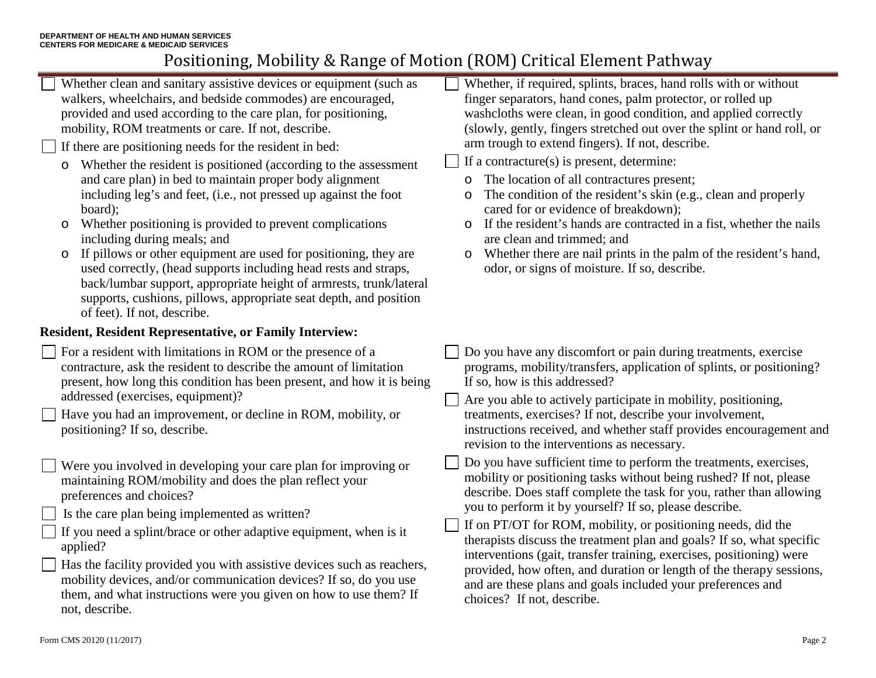| Whether clean and sanitary assistive devices or equipment (such as<br>walkers, wheelchairs, and bedside commodes) are encouraged,<br>provided and used according to the care plan, for positioning,<br>mobility, ROM treatments or care. If not, describe.<br>If there are positioning needs for the resident in bed:<br>Whether the resident is positioned (according to the assessment<br>$\circ$<br>and care plan) in bed to maintain proper body alignment<br>including leg's and feet, (i.e., not pressed up against the foot<br>board);<br>Whether positioning is provided to prevent complications<br>including during meals; and<br>If pillows or other equipment are used for positioning, they are<br>$\circ$<br>used correctly, (head supports including head rests and straps,<br>back/lumbar support, appropriate height of armrests, trunk/lateral<br>supports, cushions, pillows, appropriate seat depth, and position<br>of feet). If not, describe. | Whether, if required, splints, braces, hand rolls with or without<br>finger separators, hand cones, palm protector, or rolled up<br>washcloths were clean, in good condition, and applied correctly<br>(slowly, gently, fingers stretched out over the splint or hand roll, or<br>arm trough to extend fingers). If not, describe.<br>If a contracture(s) is present, determine:<br>The location of all contractures present;<br>$\circ$<br>The condition of the resident's skin (e.g., clean and properly<br>$\circ$<br>cared for or evidence of breakdown);<br>If the resident's hands are contracted in a fist, whether the nails<br>are clean and trimmed; and<br>Whether there are nail prints in the palm of the resident's hand,<br>$\circ$<br>odor, or signs of moisture. If so, describe. |
|----------------------------------------------------------------------------------------------------------------------------------------------------------------------------------------------------------------------------------------------------------------------------------------------------------------------------------------------------------------------------------------------------------------------------------------------------------------------------------------------------------------------------------------------------------------------------------------------------------------------------------------------------------------------------------------------------------------------------------------------------------------------------------------------------------------------------------------------------------------------------------------------------------------------------------------------------------------------|----------------------------------------------------------------------------------------------------------------------------------------------------------------------------------------------------------------------------------------------------------------------------------------------------------------------------------------------------------------------------------------------------------------------------------------------------------------------------------------------------------------------------------------------------------------------------------------------------------------------------------------------------------------------------------------------------------------------------------------------------------------------------------------------------|
| <b>Resident, Resident Representative, or Family Interview:</b>                                                                                                                                                                                                                                                                                                                                                                                                                                                                                                                                                                                                                                                                                                                                                                                                                                                                                                       |                                                                                                                                                                                                                                                                                                                                                                                                                                                                                                                                                                                                                                                                                                                                                                                                    |
| For a resident with limitations in ROM or the presence of a<br>contracture, ask the resident to describe the amount of limitation<br>present, how long this condition has been present, and how it is being<br>addressed (exercises, equipment)?<br>Have you had an improvement, or decline in ROM, mobility, or<br>positioning? If so, describe.                                                                                                                                                                                                                                                                                                                                                                                                                                                                                                                                                                                                                    | Do you have any discomfort or pain during treatments, exercise<br>programs, mobility/transfers, application of splints, or positioning?<br>If so, how is this addressed?<br>Are you able to actively participate in mobility, positioning,<br>treatments, exercises? If not, describe your involvement,<br>instructions received, and whether staff provides encouragement and<br>revision to the interventions as necessary.                                                                                                                                                                                                                                                                                                                                                                      |
| Were you involved in developing your care plan for improving or<br>maintaining ROM/mobility and does the plan reflect your<br>preferences and choices?<br>Is the care plan being implemented as written?<br>$\Box$ If you need a splint/brace or other adaptive equipment, when is it<br>applied?<br>Has the facility provided you with assistive devices such as reachers,<br>mobility devices, and/or communication devices? If so, do you use<br>them, and what instructions were you given on how to use them? If<br>not, describe.                                                                                                                                                                                                                                                                                                                                                                                                                              | Do you have sufficient time to perform the treatments, exercises,<br>mobility or positioning tasks without being rushed? If not, please<br>describe. Does staff complete the task for you, rather than allowing<br>you to perform it by yourself? If so, please describe.<br>If on PT/OT for ROM, mobility, or positioning needs, did the<br>therapists discuss the treatment plan and goals? If so, what specific<br>interventions (gait, transfer training, exercises, positioning) were<br>provided, how often, and duration or length of the therapy sessions,<br>and are these plans and goals included your preferences and<br>choices? If not, describe.                                                                                                                                    |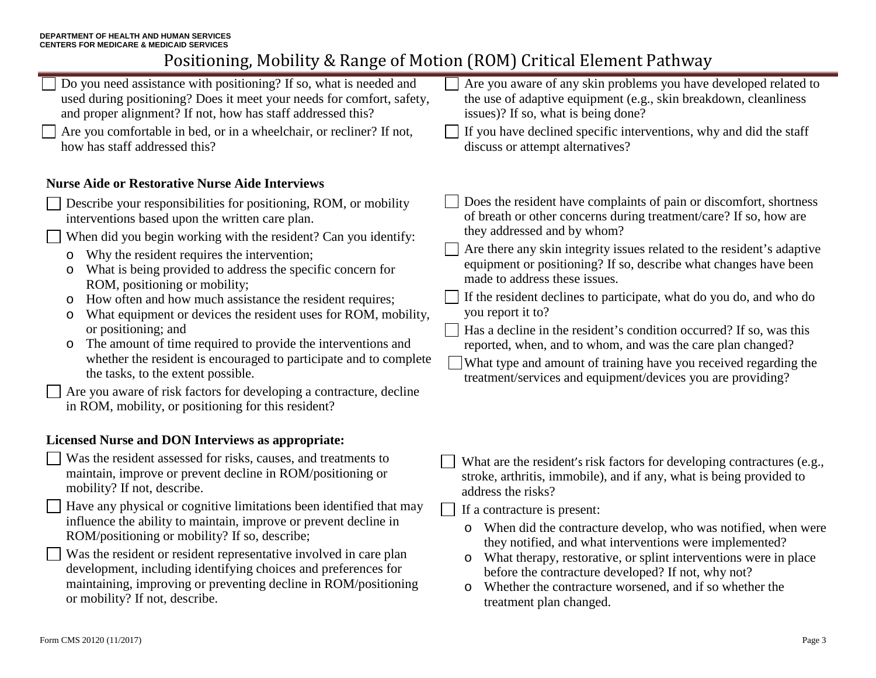| Do you need assistance with positioning? If so, what is needed and<br>used during positioning? Does it meet your needs for comfort, safety,<br>and proper alignment? If not, how has staff addressed this?<br>Are you comfortable in bed, or in a wheelchair, or recliner? If not,<br>how has staff addressed this?                                                                                                                                                                                                                                                                                                                                                                                                                                                                                                                     | Are you aware of any skin problems you have developed related to<br>the use of adaptive equipment (e.g., skin breakdown, cleanliness<br>issues)? If so, what is being done?<br>If you have declined specific interventions, why and did the staff<br>discuss or attempt alternatives?                                                                                                                                                                                                                                                                                                                                                                                                                                      |
|-----------------------------------------------------------------------------------------------------------------------------------------------------------------------------------------------------------------------------------------------------------------------------------------------------------------------------------------------------------------------------------------------------------------------------------------------------------------------------------------------------------------------------------------------------------------------------------------------------------------------------------------------------------------------------------------------------------------------------------------------------------------------------------------------------------------------------------------|----------------------------------------------------------------------------------------------------------------------------------------------------------------------------------------------------------------------------------------------------------------------------------------------------------------------------------------------------------------------------------------------------------------------------------------------------------------------------------------------------------------------------------------------------------------------------------------------------------------------------------------------------------------------------------------------------------------------------|
| <b>Nurse Aide or Restorative Nurse Aide Interviews</b>                                                                                                                                                                                                                                                                                                                                                                                                                                                                                                                                                                                                                                                                                                                                                                                  |                                                                                                                                                                                                                                                                                                                                                                                                                                                                                                                                                                                                                                                                                                                            |
| Describe your responsibilities for positioning, ROM, or mobility<br>interventions based upon the written care plan.<br>When did you begin working with the resident? Can you identify:<br>Why the resident requires the intervention;<br>$\circ$<br>What is being provided to address the specific concern for<br>$\circ$<br>ROM, positioning or mobility;<br>How often and how much assistance the resident requires;<br>O<br>What equipment or devices the resident uses for ROM, mobility,<br>O<br>or positioning; and<br>The amount of time required to provide the interventions and<br>O<br>whether the resident is encouraged to participate and to complete<br>the tasks, to the extent possible.<br>Are you aware of risk factors for developing a contracture, decline<br>in ROM, mobility, or positioning for this resident? | Does the resident have complaints of pain or discomfort, shortness<br>of breath or other concerns during treatment/care? If so, how are<br>they addressed and by whom?<br>Are there any skin integrity issues related to the resident's adaptive<br>equipment or positioning? If so, describe what changes have been<br>made to address these issues.<br>If the resident declines to participate, what do you do, and who do<br>you report it to?<br>Has a decline in the resident's condition occurred? If so, was this<br>reported, when, and to whom, and was the care plan changed?<br>What type and amount of training have you received regarding the<br>treatment/services and equipment/devices you are providing? |
| <b>Licensed Nurse and DON Interviews as appropriate:</b>                                                                                                                                                                                                                                                                                                                                                                                                                                                                                                                                                                                                                                                                                                                                                                                |                                                                                                                                                                                                                                                                                                                                                                                                                                                                                                                                                                                                                                                                                                                            |
| Was the resident assessed for risks, causes, and treatments to<br>maintain, improve or prevent decline in ROM/positioning or<br>mobility? If not, describe.                                                                                                                                                                                                                                                                                                                                                                                                                                                                                                                                                                                                                                                                             | What are the resident's risk factors for developing contractures (e.g.,<br>stroke, arthritis, immobile), and if any, what is being provided to<br>address the risks?                                                                                                                                                                                                                                                                                                                                                                                                                                                                                                                                                       |
| Have any physical or cognitive limitations been identified that may<br>influence the ability to maintain, improve or prevent decline in<br>ROM/positioning or mobility? If so, describe;<br>Was the resident or resident representative involved in care plan<br>development, including identifying choices and preferences for                                                                                                                                                                                                                                                                                                                                                                                                                                                                                                         | If a contracture is present:<br>When did the contracture develop, who was notified, when were<br>$\circ$<br>they notified, and what interventions were implemented?<br>What therapy, restorative, or splint interventions were in place<br>$\circ$                                                                                                                                                                                                                                                                                                                                                                                                                                                                         |
| maintaining, improving or preventing decline in ROM/positioning<br>or mobility? If not, describe.                                                                                                                                                                                                                                                                                                                                                                                                                                                                                                                                                                                                                                                                                                                                       | before the contracture developed? If not, why not?<br>Whether the contracture worsened, and if so whether the<br>$\circ$<br>treatment plan changed.                                                                                                                                                                                                                                                                                                                                                                                                                                                                                                                                                                        |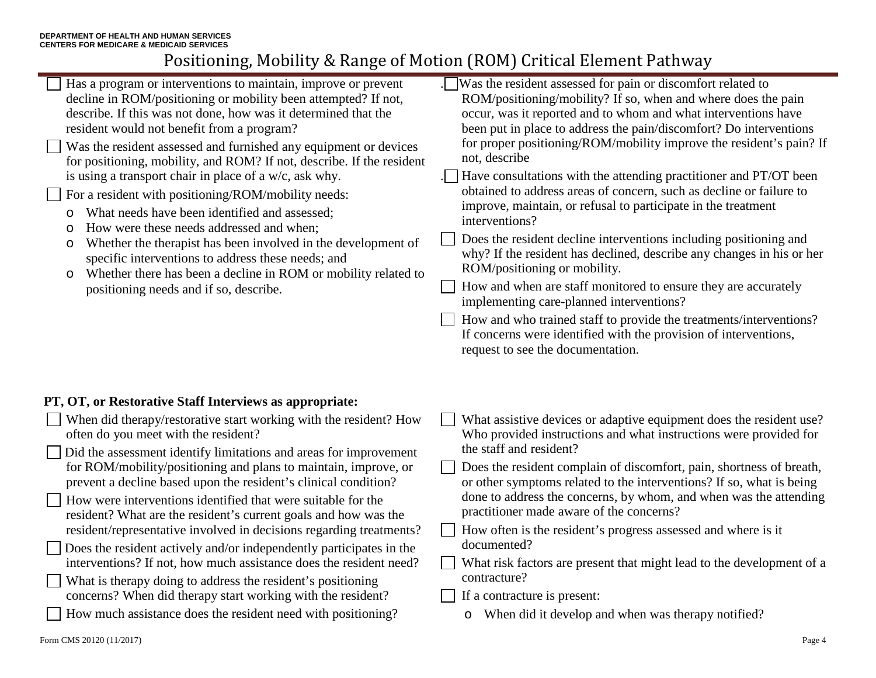| Has a program or interventions to maintain, improve or prevent<br>decline in ROM/positioning or mobility been attempted? If not,<br>describe. If this was not done, how was it determined that the<br>resident would not benefit from a program?<br>Was the resident assessed and furnished any equipment or devices<br>for positioning, mobility, and ROM? If not, describe. If the resident<br>is using a transport chair in place of a w/c, ask why.<br>For a resident with positioning/ROM/mobility needs:<br>What needs have been identified and assessed;<br>$\circ$<br>How were these needs addressed and when;<br>$\circ$<br>Whether the therapist has been involved in the development of<br>$\circ$<br>specific interventions to address these needs; and<br>Whether there has been a decline in ROM or mobility related to<br>$\circ$<br>positioning needs and if so, describe. | Was the resident assessed for pain or discomfort related to<br>ROM/positioning/mobility? If so, when and where does the pain<br>occur, was it reported and to whom and what interventions have<br>been put in place to address the pain/discomfort? Do interventions<br>for proper positioning/ROM/mobility improve the resident's pain? If<br>not, describe<br>Have consultations with the attending practitioner and PT/OT been<br>obtained to address areas of concern, such as decline or failure to<br>improve, maintain, or refusal to participate in the treatment<br>interventions?<br>Does the resident decline interventions including positioning and<br>why? If the resident has declined, describe any changes in his or her<br>ROM/positioning or mobility.<br>How and when are staff monitored to ensure they are accurately<br>implementing care-planned interventions?<br>How and who trained staff to provide the treatments/interventions?<br>If concerns were identified with the provision of interventions,<br>request to see the documentation. |
|--------------------------------------------------------------------------------------------------------------------------------------------------------------------------------------------------------------------------------------------------------------------------------------------------------------------------------------------------------------------------------------------------------------------------------------------------------------------------------------------------------------------------------------------------------------------------------------------------------------------------------------------------------------------------------------------------------------------------------------------------------------------------------------------------------------------------------------------------------------------------------------------|------------------------------------------------------------------------------------------------------------------------------------------------------------------------------------------------------------------------------------------------------------------------------------------------------------------------------------------------------------------------------------------------------------------------------------------------------------------------------------------------------------------------------------------------------------------------------------------------------------------------------------------------------------------------------------------------------------------------------------------------------------------------------------------------------------------------------------------------------------------------------------------------------------------------------------------------------------------------------------------------------------------------------------------------------------------------|
| PT, OT, or Restorative Staff Interviews as appropriate:                                                                                                                                                                                                                                                                                                                                                                                                                                                                                                                                                                                                                                                                                                                                                                                                                                    |                                                                                                                                                                                                                                                                                                                                                                                                                                                                                                                                                                                                                                                                                                                                                                                                                                                                                                                                                                                                                                                                        |
| When did therapy/restorative start working with the resident? How<br>often do you meet with the resident?<br>Did the assessment identify limitations and areas for improvement                                                                                                                                                                                                                                                                                                                                                                                                                                                                                                                                                                                                                                                                                                             | What assistive devices or adaptive equipment does the resident use?<br>Who provided instructions and what instructions were provided for<br>the staff and resident?                                                                                                                                                                                                                                                                                                                                                                                                                                                                                                                                                                                                                                                                                                                                                                                                                                                                                                    |
| for ROM/mobility/positioning and plans to maintain, improve, or<br>prevent a decline based upon the resident's clinical condition?<br>How were interventions identified that were suitable for the                                                                                                                                                                                                                                                                                                                                                                                                                                                                                                                                                                                                                                                                                         | Does the resident complain of discomfort, pain, shortness of breath,<br>or other symptoms related to the interventions? If so, what is being<br>done to address the concerns, by whom, and when was the attending                                                                                                                                                                                                                                                                                                                                                                                                                                                                                                                                                                                                                                                                                                                                                                                                                                                      |
| resident? What are the resident's current goals and how was the<br>resident/representative involved in decisions regarding treatments?                                                                                                                                                                                                                                                                                                                                                                                                                                                                                                                                                                                                                                                                                                                                                     | practitioner made aware of the concerns?<br>How often is the resident's progress assessed and where is it                                                                                                                                                                                                                                                                                                                                                                                                                                                                                                                                                                                                                                                                                                                                                                                                                                                                                                                                                              |
| Does the resident actively and/or independently participates in the<br>interventions? If not, how much assistance does the resident need?                                                                                                                                                                                                                                                                                                                                                                                                                                                                                                                                                                                                                                                                                                                                                  | documented?<br>What risk factors are present that might lead to the development of a<br>contracture?                                                                                                                                                                                                                                                                                                                                                                                                                                                                                                                                                                                                                                                                                                                                                                                                                                                                                                                                                                   |
| What is therapy doing to address the resident's positioning<br>concerns? When did therapy start working with the resident?                                                                                                                                                                                                                                                                                                                                                                                                                                                                                                                                                                                                                                                                                                                                                                 | If a contracture is present:                                                                                                                                                                                                                                                                                                                                                                                                                                                                                                                                                                                                                                                                                                                                                                                                                                                                                                                                                                                                                                           |
| How much assistance does the resident need with positioning?                                                                                                                                                                                                                                                                                                                                                                                                                                                                                                                                                                                                                                                                                                                                                                                                                               | o When did it develop and when was therapy notified?                                                                                                                                                                                                                                                                                                                                                                                                                                                                                                                                                                                                                                                                                                                                                                                                                                                                                                                                                                                                                   |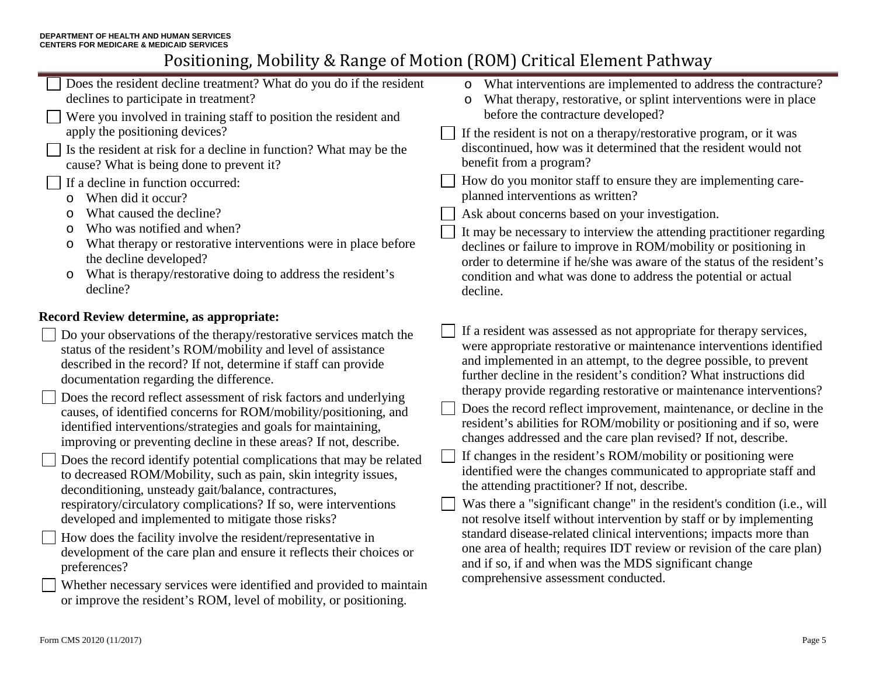| Does the resident decline treatment? What do you do if the resident<br>declines to participate in treatment?<br>Were you involved in training staff to position the resident and<br>apply the positioning devices?<br>Is the resident at risk for a decline in function? What may be the<br>cause? What is being done to prevent it?<br>If a decline in function occurred:<br>When did it occur?<br>$\circ$<br>What caused the decline?<br>O<br>Who was notified and when?<br>O<br>What therapy or restorative interventions were in place before<br>O<br>the decline developed?<br>What is therapy/restorative doing to address the resident's<br>$\circ$<br>decline?                                                                                                                                                                                                                                                                                                                                                                                                                                                                                                                                         | What interventions are implemented to address the contracture?<br>$\circ$<br>What therapy, restorative, or splint interventions were in place<br>$\circ$<br>before the contracture developed?<br>If the resident is not on a therapy/restorative program, or it was<br>discontinued, how was it determined that the resident would not<br>benefit from a program?<br>How do you monitor staff to ensure they are implementing care-<br>planned interventions as written?<br>Ask about concerns based on your investigation.<br>It may be necessary to interview the attending practitioner regarding<br>declines or failure to improve in ROM/mobility or positioning in<br>order to determine if he/she was aware of the status of the resident's<br>condition and what was done to address the potential or actual<br>decline.                                                                                                                                                                                                                                                                                                                                        |
|----------------------------------------------------------------------------------------------------------------------------------------------------------------------------------------------------------------------------------------------------------------------------------------------------------------------------------------------------------------------------------------------------------------------------------------------------------------------------------------------------------------------------------------------------------------------------------------------------------------------------------------------------------------------------------------------------------------------------------------------------------------------------------------------------------------------------------------------------------------------------------------------------------------------------------------------------------------------------------------------------------------------------------------------------------------------------------------------------------------------------------------------------------------------------------------------------------------|-------------------------------------------------------------------------------------------------------------------------------------------------------------------------------------------------------------------------------------------------------------------------------------------------------------------------------------------------------------------------------------------------------------------------------------------------------------------------------------------------------------------------------------------------------------------------------------------------------------------------------------------------------------------------------------------------------------------------------------------------------------------------------------------------------------------------------------------------------------------------------------------------------------------------------------------------------------------------------------------------------------------------------------------------------------------------------------------------------------------------------------------------------------------------|
| Record Review determine, as appropriate:<br>Do your observations of the therapy/restorative services match the<br>status of the resident's ROM/mobility and level of assistance<br>described in the record? If not, determine if staff can provide<br>documentation regarding the difference.<br>Does the record reflect assessment of risk factors and underlying<br>causes, of identified concerns for ROM/mobility/positioning, and<br>identified interventions/strategies and goals for maintaining,<br>improving or preventing decline in these areas? If not, describe.<br>Does the record identify potential complications that may be related<br>to decreased ROM/Mobility, such as pain, skin integrity issues,<br>deconditioning, unsteady gait/balance, contractures,<br>respiratory/circulatory complications? If so, were interventions<br>developed and implemented to mitigate those risks?<br>How does the facility involve the resident/representative in<br>development of the care plan and ensure it reflects their choices or<br>preferences?<br>Whether necessary services were identified and provided to maintain<br>or improve the resident's ROM, level of mobility, or positioning. | If a resident was assessed as not appropriate for therapy services,<br>were appropriate restorative or maintenance interventions identified<br>and implemented in an attempt, to the degree possible, to prevent<br>further decline in the resident's condition? What instructions did<br>therapy provide regarding restorative or maintenance interventions?<br>Does the record reflect improvement, maintenance, or decline in the<br>resident's abilities for ROM/mobility or positioning and if so, were<br>changes addressed and the care plan revised? If not, describe.<br>If changes in the resident's ROM/mobility or positioning were<br>identified were the changes communicated to appropriate staff and<br>the attending practitioner? If not, describe.<br>Was there a "significant change" in the resident's condition (i.e., will<br>not resolve itself without intervention by staff or by implementing<br>standard disease-related clinical interventions; impacts more than<br>one area of health; requires IDT review or revision of the care plan)<br>and if so, if and when was the MDS significant change<br>comprehensive assessment conducted. |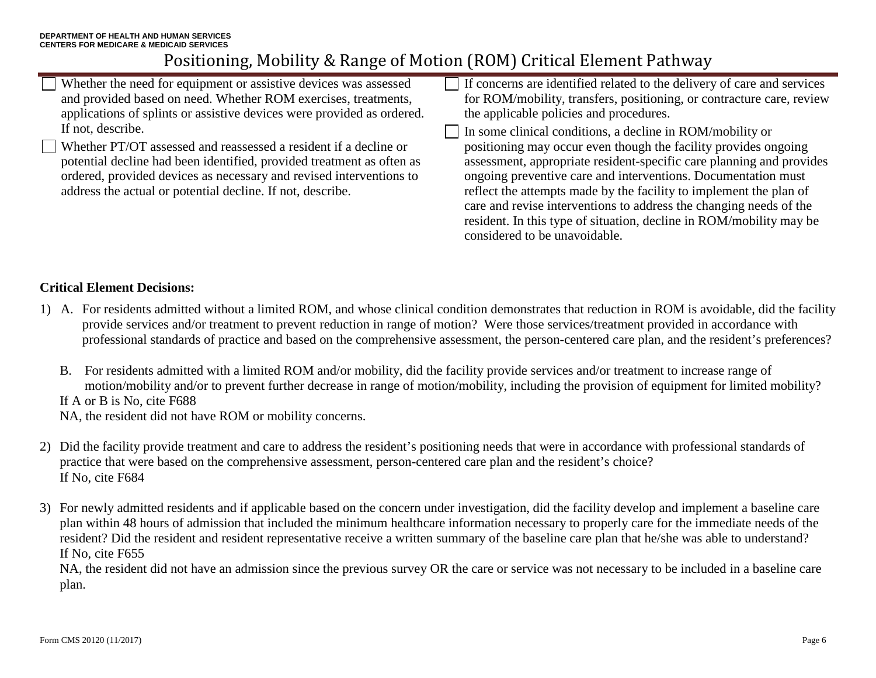| Whether the need for equipment or assistive devices was assessed                                                                                                                                                                                                               | If concerns are identified related to the delivery of care and services                                                                                                                                                                                                                                                                                                                                                                                      |
|--------------------------------------------------------------------------------------------------------------------------------------------------------------------------------------------------------------------------------------------------------------------------------|--------------------------------------------------------------------------------------------------------------------------------------------------------------------------------------------------------------------------------------------------------------------------------------------------------------------------------------------------------------------------------------------------------------------------------------------------------------|
| and provided based on need. Whether ROM exercises, treatments,                                                                                                                                                                                                                 | for ROM/mobility, transfers, positioning, or contracture care, review                                                                                                                                                                                                                                                                                                                                                                                        |
| applications of splints or assistive devices were provided as ordered.                                                                                                                                                                                                         | the applicable policies and procedures.                                                                                                                                                                                                                                                                                                                                                                                                                      |
| If not, describe.                                                                                                                                                                                                                                                              | In some clinical conditions, a decline in ROM/mobility or                                                                                                                                                                                                                                                                                                                                                                                                    |
| Whether PT/OT assessed and reassessed a resident if a decline or<br>potential decline had been identified, provided treatment as often as<br>ordered, provided devices as necessary and revised interventions to<br>address the actual or potential decline. If not, describe. | positioning may occur even though the facility provides ongoing<br>assessment, appropriate resident-specific care planning and provides<br>ongoing preventive care and interventions. Documentation must<br>reflect the attempts made by the facility to implement the plan of<br>care and revise interventions to address the changing needs of the<br>resident. In this type of situation, decline in ROM/mobility may be<br>considered to be unavoidable. |
|                                                                                                                                                                                                                                                                                |                                                                                                                                                                                                                                                                                                                                                                                                                                                              |

#### **Critical Element Decisions:**

- 1) A. For residents admitted without a limited ROM, and whose clinical condition demonstrates that reduction in ROM is avoidable, did the facility provide services and/or treatment to prevent reduction in range of motion? Were those services/treatment provided in accordance with professional standards of practice and based on the comprehensive assessment, the person-centered care plan, and the resident's preferences?
	- B. For residents admitted with a limited ROM and/or mobility, did the facility provide services and/or treatment to increase range of motion/mobility and/or to prevent further decrease in range of motion/mobility, including the provision of equipment for limited mobility? If A or B is No, cite F688

NA, the resident did not have ROM or mobility concerns.

- 2) Did the facility provide treatment and care to address the resident's positioning needs that were in accordance with professional standards of practice that were based on the comprehensive assessment, person-centered care plan and the resident's choice? If No, cite F684
- 3) For newly admitted residents and if applicable based on the concern under investigation, did the facility develop and implement a baseline care plan within 48 hours of admission that included the minimum healthcare information necessary to properly care for the immediate needs of the resident? Did the resident and resident representative receive a written summary of the baseline care plan that he/she was able to understand? If No, cite F655

NA, the resident did not have an admission since the previous survey OR the care or service was not necessary to be included in a baseline care plan.